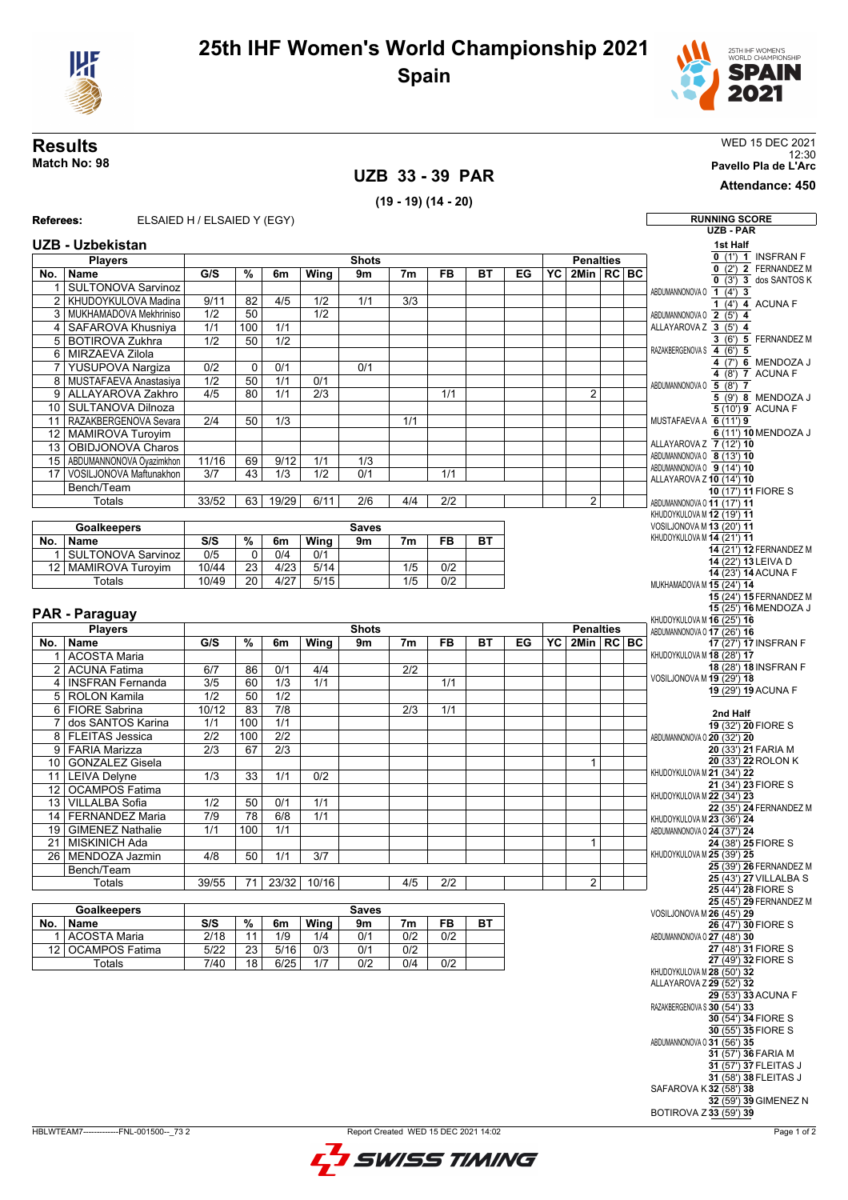



## **UZB 33 - 39 PAR**

**Results** WED 15 DEC 2021 12:30 **Match No: 98 Pavello Pla de L'Arc**

**Attendance: 450**

## **(19 - 19) (14 - 20) Referees:** ELSAIED H / ELSAIED Y (EGY) **RUNNING SCORE UZB - PAR UZB - Uzbekistan Players No. Name Shots G/S % 6m Wing 9m 7m FB BT EG Penalties YC 2Min RC BC** SULTONOVA Sarvinoz 2 KHUDOYKULOVA Madina 9/11 82 4/5 1/2 1/1 3/3 3 MUKHAMADOVA Mekhriniso | 1/2 | 50 | 1/2 4 SAFAROVA Khusniya 1/1 100 1/1 BOTIROVA Zukhra 1/2 50 6 MIRZAEVA Zilola 7 YUSUPOVA Nargiza 0/2 0 0/1 0/1 MUSTAFAEVA Anastasiya | 1/2 | 50 | 1/1 9 ALLAYAROVA Zakhro 4/5 80 1/1 2/3 1/1 2 10 SULTANOVA Dilnoza 11 RAZAKBERGENOVA Sevara | 2/4 | 50 | 1/3 | | | | | | 1/1 12 MAMIROVA Turoyim 13 OBIDJONOVA Charos 15 ABDUMANNONOVA Oyazimkhon 11/16 69 9/12 1/1 1/3 17 VOSILJONOVA Maftunakhon 3/7 43 1/3 1/2 0/1 1/1 Bench/Team Totals | 33/52 | 63 | 19/29 | 6/11 | 2/6 | 4/4 | 2/2 | | | 2 **Goalkeepers No. Name Saves S/S % 6m Wing 9m 7m FB BT** 1 SULTONOVA Sarvinoz 0/5 0 0/4 0/1 12 MAMIROVA Turoyim 10/44 23 4/23 5/14 1/5 0/2 Totals 10/49 20 4/27 5/15 1/5 0/2 **PAR - Paraguay Players No. Name Shots G/S % 6m Wing 9m 7m FB BT EG Penalties YC 2Min RC BC** 1 ACOSTA Maria 2 ACUNA Fatima 6/7 86 0/1 4/4 2/2 4 INSFRAN Fernanda 3/5 60 1/3 1/1 5 ROLON Kamila 1/2 50 1/2 6 FIORE Sabrina 10/12 83 7/8 2/3 1/1 7 dos SANTOS Karina 1/1 100 1/1 8 FLEITAS Jessica 2/2 100 2/2 9 FARIA Marizza 2/3 67 2/3 10 GONZALEZ Gisela **1 Contract Contract Contract Contract Contract Contract Contract Contract Contract Contract Contract Contract Contract Contract Contract Contract Contract Contract Contract Contract Contract Contract Co** 11 LEIVA Delyne 1/3 33 1/1 0/2 12 OCAMPOS Fatima 13 VILLALBA Sofia 1/2 50 0/1 1/1 14 FERNANDEZ Maria 7/9 78 6/8 1/1 19 GIMENEZ Nathalie 1/1 100 1/1 21 MISKINICH Ada 1 26 MENDOZA Jazmin 4/8 50 1/1 3/7 Bench/Team Totals 39/55 71 23/32 10/16 4/5 2/2 2 **Goalkeepers No. Name Saves S/S % 6m Wing 9m 7m FB BT** 1 ACOSTA Maria 1 2/18 11 1/9 1/4 0/1 0/2 0/2 12 OCAMPOS Fatima | 5/22 | 23 | 5/16 | 0/3 | 0/1 | 0/2 Totals 7/40 18 6/25 1/7 0/2 0/4 0/2 **1st Half 0** (1') **1**INSFRAN F  $\overline{0}$  (2') **2** FERNANDEZ M  $\overline{0}$  (3')  $\overline{3}$  dos SANTOS K ABDUMANNONOVA O **1** (4') **3**  $\frac{1(4')}{2(5')4}$  ACUNA F<br> $\frac{2(5')4}{3(5')4}$ ABDUMANNONOVA O **2** (5') **4** ALLAYAROVA Z **3** (5') **4**  $\frac{3}{4}$  (6') **5** FERNANDEZ M RAZAKBERGENOVA S **4** (6') **5 4** (7') **6** MENDOZA J **4** (8') **7**ACUNA F ABDUMANNONOVA O **5** (8') **7**  $\frac{6}{5}$  (9') **8** MENDOZA J **5** (10') **9** ACUNA F MUSTAFAEVA A **6** (11') **9 6** (11') **10** MENDOZA J ALLAYAROVA Z **7** (12') **10** ABDUMANNONOVA O **8** (13') **10** ABDUMANNONOVA O **9** (14') **10** ALLAYAROVA Z **10** (14') **10 10** (17') **11**FIORE S ABDUMANNONOVA O **11** (17') **11** KHUDOYKULOVA M **12** (19') **11** VOSILJONOVA M **13** (20') **11** KHUDOYKULOVA M **14** (21') **11 14** (21') **12** FERNANDEZ M **14** (22') **13** LEIVA D **14** (23') **14**ACUNA F MUKHAMADOVA M **15** (24') **14 15** (24') **15** FERNANDEZ M **15** (25') **16** MENDOZA J KHUDOYKULOVA M **16** (25') **16** ABDUMANNONOVA O **17** (26') **16 17** (27') **17** INSFRAN F KHUDOYKULOVA M **18** (28') **17 18** (28') **18** INSFRAN F VOSILJONOVA M **19** (29') **18 19** (29') **19**ACUNA F **2nd Half 19** (32') **20**FIORE S ABDUMANNONOVA O **20** (32') **20 20** (33') **21**FARIA M **20** (33') **22** ROLON K KHUDOYKULOVA M **21** (34') **22 21** (34') **23**FIORE S KHUDOYKULOVA M **22** (34') **23 22** (35') **24** FERNANDEZ M KHUDOYKULOVA M **23** (36') **24** ABDUMANNONOVA O **24** (37') **24 24** (38') **25**FIORE S KHUDOYKULOVA M **25** (39') **25 25** (39') **26** FERNANDEZ M **25** (43') **27** VILLALBA S **25** (44') **28**FIORE S **25** (45') **29** FERNANDEZ M VOSILJONOVA M **26** (45') **29 26** (47') **30**FIORE S ABDUMANNONOVA O **27** (48') **30 27** (48') **31**FIORE S **27** (49') **32**FIORE S KHUDOYKULOVA M **28** (50') **32** ALLAYAROVA Z **29** (52') **32 29** (53') **33**ACUNA F RAZAKBERGENOVA S **30** (54') **33 30** (54') **34**FIORE S **30** (55') **35**FIORE S ABDUMANNONOVA O **31** (56') **35 31** (57') **36**FARIA M **31** (57') **37**FLEITAS J

| BLWTEAM7-------------FNL-001500-- 73 2 |  |
|----------------------------------------|--|
|                                        |  |



**31** (58') **38**FLEITAS J

**32** (59') **39**GIMENEZ N

SAFAROVA K **32** (58') **38**

BOTIROVA Z **33** (59') **39**